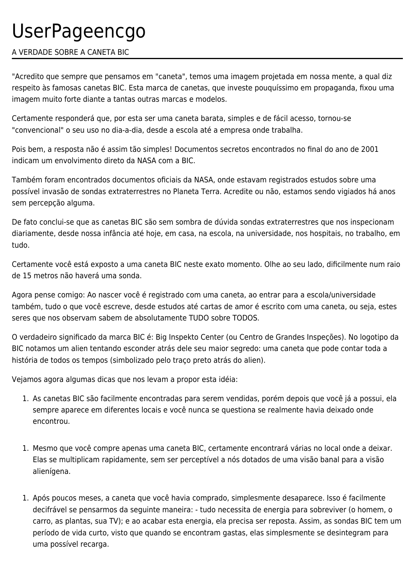# UserPageencgo

## A VERDADE SOBRE A CANETA BIC

"Acredito que sempre que pensamos em "caneta", temos uma imagem projetada em nossa mente, a qual diz respeito às famosas canetas BIC. Esta marca de canetas, que investe pouquíssimo em propaganda, fixou uma imagem muito forte diante a tantas outras marcas e modelos.

Certamente responderá que, por esta ser uma caneta barata, simples e de fácil acesso, tornou-se "convencional" o seu uso no dia-a-dia, desde a escola até a empresa onde trabalha.

Pois bem, a resposta não é assim tão simples! Documentos secretos encontrados no final do ano de 2001 indicam um envolvimento direto da NASA com a BIC.

Também foram encontrados documentos oficiais da NASA, onde estavam registrados estudos sobre uma possível invasão de sondas extraterrestres no Planeta Terra. Acredite ou não, estamos sendo vigiados há anos sem percepção alguma.

De fato conclui-se que as canetas BIC são sem sombra de dúvida sondas extraterrestres que nos inspecionam diariamente, desde nossa infância até hoje, em casa, na escola, na universidade, nos hospitais, no trabalho, em tudo.

Certamente você está exposto a uma caneta BIC neste exato momento. Olhe ao seu lado, dificilmente num raio de 15 metros não haverá uma sonda.

Agora pense comigo: Ao nascer você é registrado com uma caneta, ao entrar para a escola/universidade também, tudo o que você escreve, desde estudos até cartas de amor é escrito com uma caneta, ou seja, estes seres que nos observam sabem de absolutamente TUDO sobre TODOS.

O verdadeiro significado da marca BIC é: Big Inspekto Center (ou Centro de Grandes Inspeções). No logotipo da BIC notamos um alien tentando esconder atrás dele seu maior segredo: uma caneta que pode contar toda a história de todos os tempos (simbolizado pelo traço preto atrás do alien).

Vejamos agora algumas dicas que nos levam a propor esta idéia:

- 1. As canetas BIC são facilmente encontradas para serem vendidas, porém depois que você já a possui, ela sempre aparece em diferentes locais e você nunca se questiona se realmente havia deixado onde encontrou.
- 1. Mesmo que você compre apenas uma caneta BIC, certamente encontrará várias no local onde a deixar. Elas se multiplicam rapidamente, sem ser perceptível a nós dotados de uma visão banal para a visão alienígena.
- 1. Após poucos meses, a caneta que você havia comprado, simplesmente desaparece. Isso é facilmente decifrável se pensarmos da seguinte maneira: - tudo necessita de energia para sobreviver (o homem, o carro, as plantas, sua TV); e ao acabar esta energia, ela precisa ser reposta. Assim, as sondas BIC tem um período de vida curto, visto que quando se encontram gastas, elas simplesmente se desintegram para uma possível recarga.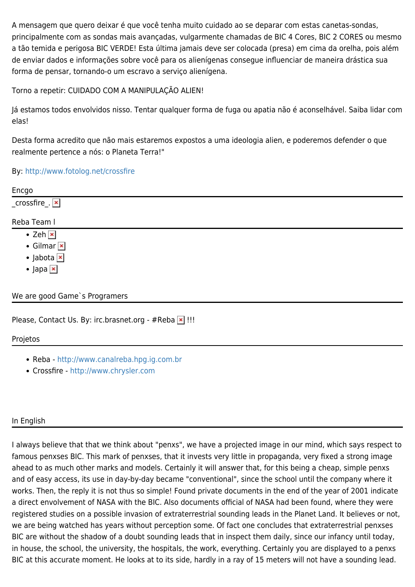A mensagem que quero deixar é que você tenha muito cuidado ao se deparar com estas canetas-sondas, principalmente com as sondas mais avançadas, vulgarmente chamadas de BIC 4 Cores, BIC 2 CORES ou mesmo a tão temida e perigosa BIC VERDE! Esta última jamais deve ser colocada (presa) em cima da orelha, pois além de enviar dados e informações sobre você para os alienígenas consegue influenciar de maneira drástica sua forma de pensar, tornando-o um escravo a serviço alienígena.

Torno a repetir: CUIDADO COM A MANIPULAÇÃO ALIEN!

Já estamos todos envolvidos nisso. Tentar qualquer forma de fuga ou apatia não é aconselhável. Saiba lidar com elas!

Desta forma acredito que não mais estaremos expostos a uma ideologia alien, e poderemos defender o que realmente pertence a nós: o Planeta Terra!"

### By:<http://www.fotolog.net/crossfire>

|                                          | Encgo                 |
|------------------------------------------|-----------------------|
|                                          | _crossfire_. <b>x</b> |
|                                          | Reba Team I           |
| • Zeh $\overline{\phantom{a}}$           |                       |
| $\bullet$ Gilmar $\boxed{\times}$        |                       |
| $\bullet$ Jabota $\overline{\mathbf{x}}$ |                       |
| $\bullet$ Japa $\overline{\mathbf{x}}$   |                       |
| We are good Game's Programers            |                       |
| $\sim$                                   |                       |

Please, Contact Us. By: irc.brasnet.org - #Reba  $\vert \mathbf{x} \vert$ !!!

Projetos

- Reba -<http://www.canalreba.hpg.ig.com.br>
- Crossfire <http://www.chrysler.com>

### In English

I always believe that that we think about "penxs", we have a projected image in our mind, which says respect to famous penxses BIC. This mark of penxses, that it invests very little in propaganda, very fixed a strong image ahead to as much other marks and models. Certainly it will answer that, for this being a cheap, simple penxs and of easy access, its use in day-by-day became "conventional", since the school until the company where it works. Then, the reply it is not thus so simple! Found private documents in the end of the year of 2001 indicate a direct envolvement of NASA with the BIC. Also documents official of NASA had been found, where they were registered studies on a possible invasion of extraterrestrial sounding leads in the Planet Land. It believes or not, we are being watched has years without perception some. Of fact one concludes that extraterrestrial penxses BIC are without the shadow of a doubt sounding leads that in inspect them daily, since our infancy until today, in house, the school, the university, the hospitals, the work, everything. Certainly you are displayed to a penxs BIC at this accurate moment. He looks at to its side, hardly in a ray of 15 meters will not have a sounding lead.